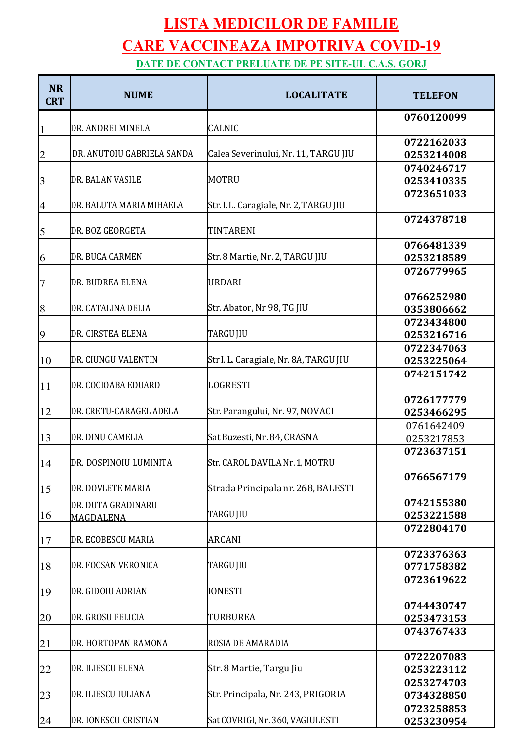## **LISTA MEDICILOR DE FAMILIE CARE VACCINEAZA IMPOTRIVA COVID-19 DATE DE CONTACT PRELUATE DE PE SITE-UL C.A.S. GORJ**

**NR CRT NUME LOCALITATE TELEFON** DR. ANDREI MINELA CALNIC DR. ANUTOIU GABRIELA SANDA Calea Severinului, Nr. 11, TARGU JIU 3 DR. BALAN VASILE MOTRU DR. BALUTA MARIA MIHAELA Str. I. L. Caragiale, Nr. 2, TARGU JIU 5 DR. BOZ GEORGETA TINTARENI 6 DR. BUCA CARMEN Str. 8 Martie, Nr. 2, TARGU JIU DR. BUDREA ELENA URDARI DR. CATALINA DELIA Str. Abator, Nr 98, TG JIU DR. CIRSTEA ELENA TARGU JIU DR. CIUNGU VALENTIN Str I. L. Caragiale, Nr. 8A, TARGU JIU 11 DR. COCIOABA EDUARD LOGRESTI 12 DR. CRETU-CARAGEL ADELA Str. Parangului, Nr. 97, NOVACI 13 DR. DINU CAMELIA Sat Buzesti, Nr. 84, CRASNA 14 DR. DOSPINOIU LUMINITA Str. CAROL DAVILA Nr. 1, MOTRU 15 DR. DOVLETE MARIA Strada Principala nr. 268, BALESTI DR. DUTA GRADINARU MAGDALENA TARGU JIU 17 DR. ECOBESCU MARIA ARCANI 18 DR. FOCSAN VERONICA TARGU JIU 19 DR. GIDOIU ADRIAN |IONESTI 20 DR. GROSU FELICIA TURBUREA 21 DR. HORTOPAN RAMONA ROSIA DE AMARADIA 22 DR. ILIESCU ELENA Str. 8 Martie, Targu Jiu 23 DR. ILIESCU IULIANA Str. Principala, Nr. 243, PRIGORIA 24 DR. IONESCU CRISTIAN Sat COVRIGI, Nr. 360, VAGIULESTI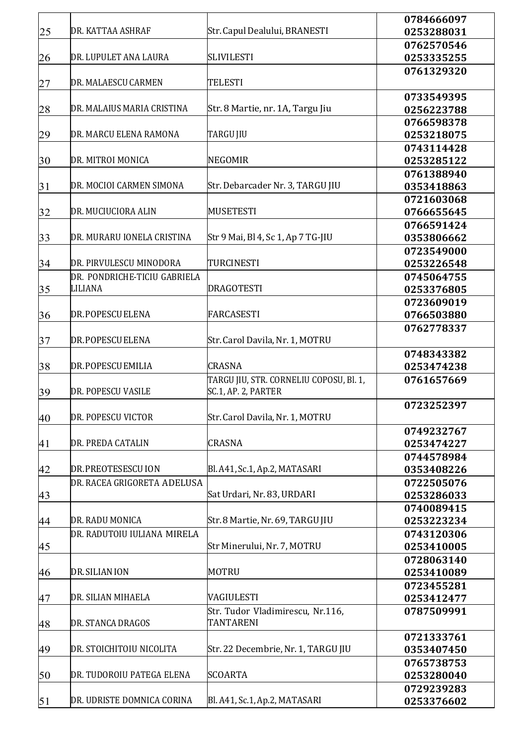|    |                              |                                         | 0784666097 |
|----|------------------------------|-----------------------------------------|------------|
| 25 | DR. KATTAA ASHRAF            | Str. Capul Dealului, BRANESTI           | 0253288031 |
|    |                              |                                         | 0762570546 |
| 26 | DR. LUPULET ANA LAURA        | <b>SLIVILESTI</b>                       | 0253335255 |
|    |                              |                                         | 0761329320 |
| 27 | DR. MALAESCU CARMEN          | <b>TELESTI</b>                          |            |
|    |                              |                                         | 0733549395 |
| 28 | DR. MALAIUS MARIA CRISTINA   | Str. 8 Martie, nr. 1A, Targu Jiu        | 0256223788 |
|    |                              |                                         | 0766598378 |
| 29 | DR. MARCU ELENA RAMONA       | TARGU JIU                               | 0253218075 |
|    |                              |                                         |            |
|    |                              | <b>NEGOMIR</b>                          | 0743114428 |
| 30 | DR. MITROI MONICA            |                                         | 0253285122 |
|    |                              |                                         | 0761388940 |
| 31 | DR. MOCIOI CARMEN SIMONA     | Str. Debarcader Nr. 3, TARGU JIU        | 0353418863 |
|    |                              |                                         | 0721603068 |
| 32 | DR. MUCIUCIORA ALIN          | <b>MUSETESTI</b>                        | 0766655645 |
|    |                              |                                         | 0766591424 |
| 33 | DR. MURARU IONELA CRISTINA   | Str 9 Mai, Bl 4, Sc 1, Ap 7 TG-JIU      | 0353806662 |
|    |                              |                                         | 0723549000 |
| 34 | DR. PIRVULESCU MINODORA      | TURCINESTI                              | 0253226548 |
|    | DR. PONDRICHE-TICIU GABRIELA |                                         | 0745064755 |
| 35 | <b>LILIANA</b>               | <b>DRAGOTESTI</b>                       | 0253376805 |
|    |                              |                                         | 0723609019 |
| 36 | DR. POPESCUELENA             | <b>FARCASESTI</b>                       | 0766503880 |
|    |                              |                                         | 0762778337 |
|    | DR. POPESCUELENA             | Str. Carol Davila, Nr. 1, MOTRU         |            |
| 37 |                              |                                         |            |
|    |                              |                                         | 0748343382 |
| 38 | DR. POPESCUEMILIA            | <b>CRASNA</b>                           | 0253474238 |
|    |                              | TARGU JIU, STR. CORNELIU COPOSU, Bl. 1, | 0761657669 |
| 39 | DR. POPESCU VASILE           | SC.1, AP. 2, PARTER                     |            |
|    |                              |                                         | 0723252397 |
| 40 | DR. POPESCU VICTOR           | Str. Carol Davila, Nr. 1, MOTRU         |            |
|    |                              |                                         | 0749232767 |
| 41 | DR. PREDA CATALIN            | <b>CRASNA</b>                           | 0253474227 |
|    |                              |                                         | 0744578984 |
| 42 | DR. PREOTESESCUION           | Bl. A41, Sc.1, Ap.2, MATASARI           | 0353408226 |
|    | DR. RACEA GRIGORETA ADELUSA  |                                         | 0722505076 |
| 43 |                              | Sat Urdari, Nr. 83, URDARI              | 0253286033 |
|    |                              |                                         | 0740089415 |
| 44 | DR. RADU MONICA              | Str. 8 Martie, Nr. 69, TARGU JIU        | 0253223234 |
|    |                              |                                         |            |
|    | DR. RADUTOIU IULIANA MIRELA  |                                         | 0743120306 |
| 45 |                              | Str Minerului, Nr. 7, MOTRU             | 0253410005 |
|    |                              |                                         | 0728063140 |
| 46 | DR. SILIAN ION               | <b>MOTRU</b>                            | 0253410089 |
|    |                              |                                         | 0723455281 |
| 47 | DR. SILIAN MIHAELA           | VAGIULESTI                              | 0253412477 |
|    |                              | Str. Tudor Vladimirescu, Nr.116,        | 0787509991 |
| 48 | DR. STANCA DRAGOS            | <b>TANTARENI</b>                        |            |
|    |                              |                                         | 0721333761 |
| 49 | DR. STOICHITOIU NICOLITA     | Str. 22 Decembrie, Nr. 1, TARGU JIU     | 0353407450 |
|    |                              |                                         | 0765738753 |
| 50 | DR. TUDOROIU PATEGA ELENA    | <b>SCOARTA</b>                          | 0253280040 |
|    |                              |                                         | 0729239283 |
|    |                              |                                         |            |
| 51 | DR. UDRISTE DOMNICA CORINA   | Bl. A41, Sc.1, Ap.2, MATASARI           | 0253376602 |